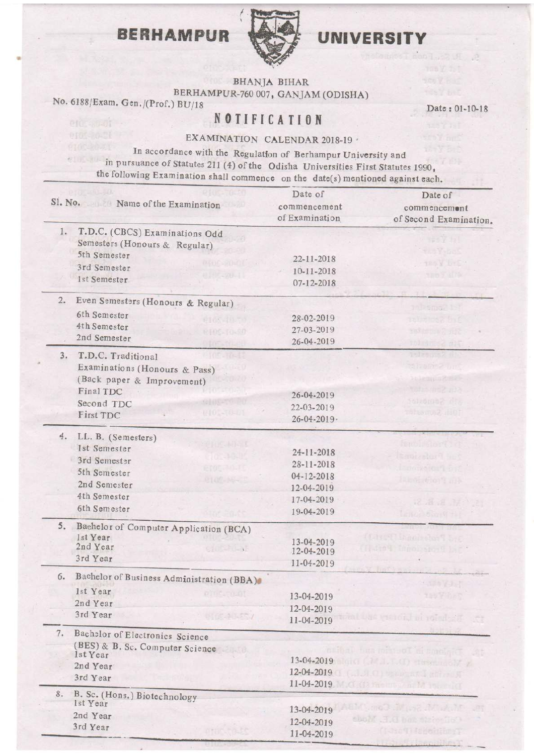## **BERHAMPUR**



## UNIVERSITY

Date: 0I-10-18

01.319 p

BHANJA BIHAR

BERHAMPUR-760 007, GANJAM (ODISHA)

No. 6188/Exam. Gen./(prof.) BU/18

## **NOTIFICATION**

EXAMINATION CALENDAR 2018-19

the following Examination shall commence on the date(s) mentioned against each. In accordance with the Regulation of Berhampur University and in pursuance of Statutes 2ll (4) of the Odisha Universities First Statutes 1gg0,

| R HOSTOLSO<br>Sl. No. Name of the Examination              | Date of<br>commencement<br>of Examination | Date of<br>commencement<br>of Second Examination. |  |  |  |
|------------------------------------------------------------|-------------------------------------------|---------------------------------------------------|--|--|--|
| 1.<br>T.D.C. (CBCS) Examinations Odd                       |                                           | <b>FOY ALL</b>                                    |  |  |  |
| Semesters (Honours & Regular)                              |                                           | <b>The Yebox</b>                                  |  |  |  |
| 5th Semester<br>0.000-20-00                                | 22-11-2018                                | the Y first                                       |  |  |  |
| 3rd Semester<br>전 <i>대 - 2</i> 0-11                        | 10-11-2018                                | <b>TROY LIST</b>                                  |  |  |  |
| 1st Semester                                               | 07-12-2018                                |                                                   |  |  |  |
| 2.<br>Even Semesters (Honours & Regular)                   |                                           |                                                   |  |  |  |
| 6th Semester                                               | 28-02-2019                                | <b>In Pamor 1-7</b>                               |  |  |  |
| 9105-10-70<br>4th Semester                                 | 27-03-2019                                | tel Bross frie                                    |  |  |  |
| <b>RT05-T0-80</b><br>2nd Semester                          | 26-04-2019                                | reterne? rut                                      |  |  |  |
| 105-10-49                                                  |                                           | 101 00 52 115                                     |  |  |  |
| 3.<br>T.D.C. Traditional<br>$-105 - 10 - 42$               |                                           | Tilzansk all                                      |  |  |  |
| Examinations (Honours & Pass)                              |                                           | clisation 2 bm                                    |  |  |  |
| (Back paper & Improvement)                                 |                                           | buleuging and                                     |  |  |  |
| $10^{22} 02$<br>Final TDC                                  | 26-04-2019                                | talismaz illa                                     |  |  |  |
| GIOUTO PO<br>Second TDC                                    | 22-03-2019                                | Silo Senostor                                     |  |  |  |
| 410. 10.01<br>First TDC                                    | $26 - 04 - 2019$                          | 10H <sub>1</sub> Seunester                        |  |  |  |
|                                                            |                                           |                                                   |  |  |  |
| 4. LL. B. (Semesters)<br><b>CHIC-MI-15</b><br>1st Semester |                                           | <b>Barbard Cortist</b>                            |  |  |  |
| close and the                                              | 24-11-2018                                | Emission <sup>n</sup> aut                         |  |  |  |
| 3rd Semester<br>erde aduri                                 | 28-11-2018                                | Important Bit                                     |  |  |  |
| 5th Semester<br>0100-16-10                                 | 04-12-2018                                | I land when This                                  |  |  |  |
| 2nd Semester                                               | 12-04-2019                                |                                                   |  |  |  |
| 4th Semester                                               | 17-04-2019                                | H. B. B. S.                                       |  |  |  |
| 6th Semester                                               | 19-04-2019                                | Lange Sort H                                      |  |  |  |
| 5.<br>Baehelor of Computer Application (BCA)               |                                           |                                                   |  |  |  |
| 1st Year                                                   | 13-04-2019                                | (Linet) Machalon Sont                             |  |  |  |
| 2nd Year<br>STORES .                                       | 12-04-2019                                | (Astol important bit                              |  |  |  |
| 3rd Year                                                   | 11-04-2019                                |                                                   |  |  |  |
| Baehelor of Business Administration (BBA)<br>6.            | "一面生了一                                    |                                                   |  |  |  |
| 1st Year<br>of nounce of                                   | 13-04-2019                                | the Fiber                                         |  |  |  |
| 2nd Year                                                   | 12-04-2019                                |                                                   |  |  |  |
| 3rd Year<br>0100404577                                     | 11-04-2019                                | mi Lae vititor, ni rolad sit                      |  |  |  |
| 7.<br>Bachelor of Electronics Science                      |                                           |                                                   |  |  |  |
| (BES) & B. Sc. Computer Science<br>20. TA                  |                                           | calbal hannot real of smelgic                     |  |  |  |
| 1st Year                                                   |                                           | $13-04-2019$                                      |  |  |  |
| 2nd Year                                                   | 12-04-2019                                | (al. J. C) upper and gifter in                    |  |  |  |
| 3rd Year                                                   |                                           | 11-04-2019                                        |  |  |  |
| 8.<br>B. Sc. (Hons.) Biotechnology                         |                                           |                                                   |  |  |  |
| 1st Year                                                   | 13-04-2019                                | MumcDuil (es Michel                               |  |  |  |
| 2nd Year                                                   | 12-04-2019                                | shold  I but the choice                           |  |  |  |
| 3rd Year                                                   | 11-04-2019                                | (I-hellis definer)                                |  |  |  |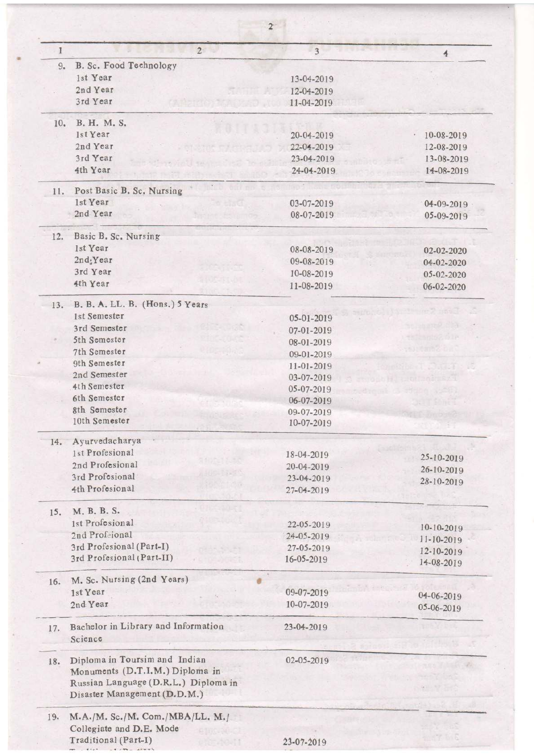| 1   | $2^{\circ}$                                                          | 3 <sup>1</sup> | $\Phi$           |  |  |  |
|-----|----------------------------------------------------------------------|----------------|------------------|--|--|--|
| 9.  | B. Sc. Food Technology                                               |                |                  |  |  |  |
|     | 1st Year                                                             | 13-04-2019     |                  |  |  |  |
|     | 2nd Year                                                             | 12-04-2019     |                  |  |  |  |
|     | 3rd Year                                                             | 11-04-2019     |                  |  |  |  |
| 10. | B. H. M. S.                                                          |                |                  |  |  |  |
|     | 1st Year                                                             | 20-04-2019     | 10-08-2019       |  |  |  |
|     | 2nd Year                                                             | 22-04-2019     | 12-08-2019       |  |  |  |
|     | 3rd Year                                                             | 23-04-2019     | 13-08-2019       |  |  |  |
|     | 4th Year                                                             | 24-04-2019     | 14-08-2019       |  |  |  |
| 11. | Post Basic B. Sc. Nursing                                            | $10^{12}$      |                  |  |  |  |
|     | 1st Year                                                             | 03-07-2019     | 04-09-2019       |  |  |  |
|     | 2nd Year                                                             | 08-07-2019     | 05-09-2019       |  |  |  |
| 12. | Basic B. Sc. Nursing                                                 |                |                  |  |  |  |
|     | 1st Year                                                             | 08-08-2019     | 02-02-2020       |  |  |  |
|     | 2nd <sub>:</sub> Year                                                | 09-08-2019     | 04-02-2020       |  |  |  |
|     | 3rd Year                                                             | 10-08-2019     | 05-02-2020       |  |  |  |
|     | 4th Year                                                             | 11-08-2019     | 06-02-2020       |  |  |  |
| 13. | B. B. A. LL. B. (Hons.) 5 Years                                      |                |                  |  |  |  |
|     | 1st Semester                                                         | 05-01-2019     |                  |  |  |  |
|     | 3rd Semester                                                         | 07-01-2019     | this and did     |  |  |  |
|     | 5th Semester                                                         | 08-01-2019     | this mise our    |  |  |  |
|     | 7th Semester                                                         | 09-01-2019     | stureme bit      |  |  |  |
|     | 9th Semester                                                         | 11-01-2019     |                  |  |  |  |
|     | 2nd Semester                                                         | 03-07-2019     | <b>BITCHESTY</b> |  |  |  |
|     | 4th Semester                                                         | 05-07-2019     |                  |  |  |  |
|     | 6th Semester                                                         | 06-07-2019     |                  |  |  |  |
|     | 8th Semester                                                         | 09-07-2019     |                  |  |  |  |
|     | 10th Semester                                                        | 10-07-2019     |                  |  |  |  |
| 14. | Ayurvedacharya                                                       |                |                  |  |  |  |
|     | 1st Profesional                                                      | 18-04-2019     | 25-10-2019       |  |  |  |
|     | 2nd Profesional                                                      | 20-04-2019     | 26-10-2019       |  |  |  |
|     | 3rd Profesional                                                      | 23-04-2019     | 28-10-2019       |  |  |  |
|     | 4th Profesional                                                      | 27-04-2019     |                  |  |  |  |
| 15. | M. B. B. S.                                                          |                |                  |  |  |  |
|     | 1st Profesional                                                      | 22-05-2019     | 10-10-2019       |  |  |  |
|     | 2nd Profeional                                                       | 24-05-2019     | 11-10-2019       |  |  |  |
|     | 3rd Profesional (Part-I)                                             | 27-05-2019     | 12-10-2019       |  |  |  |
|     | 3rd Profesional (Part-II)                                            | 16-05-2019     | 14-08-2019       |  |  |  |
| 16. | M. Sc. Nursing (2nd Years)                                           |                |                  |  |  |  |
|     | 1st Year                                                             | 09-07-2019     | 04-06-2019       |  |  |  |
|     | 2nd Year                                                             | 10-07-2019     | 05-06-2019       |  |  |  |
| 17. | Bachelor in Library and Information<br>Science                       | 23-04-2019     |                  |  |  |  |
| 18. | Diploma in Toursim and Indian                                        | 02-05-2019     |                  |  |  |  |
|     | Monuments (D.T.I.M.) Diploma in                                      |                |                  |  |  |  |
|     | Russian Language (D.R.L.) Diploma in<br>Disaster Management (D.D.M.) |                |                  |  |  |  |
| 19. | M.A./M. Sc./M. Com./MBA/LL. M./                                      |                |                  |  |  |  |
|     | Collegiate and D.E. Mode                                             |                |                  |  |  |  |
|     | Traditional (Part-I)                                                 | 23-07-2019     |                  |  |  |  |
|     |                                                                      |                |                  |  |  |  |

 $\ddot{\phantom{a}}$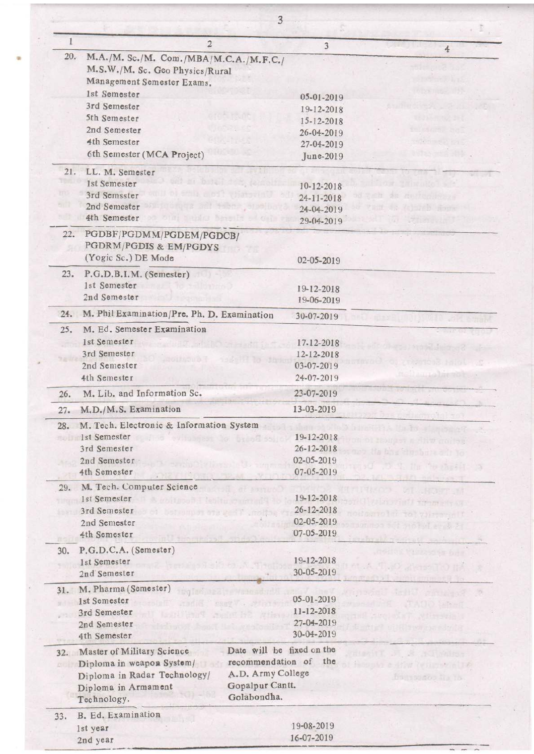|           | $\overline{2}$                                           | 3                                          |                                      |
|-----------|----------------------------------------------------------|--------------------------------------------|--------------------------------------|
| 20.       | M.A./M. Sc./M. Com./MBA/M.C.A./M.F.C./                   |                                            | 4                                    |
|           | M.S.W./M. Sc. Geo Physics/Rural                          |                                            |                                      |
|           | Management Semester Exams.                               |                                            |                                      |
|           | 1st Semester                                             |                                            |                                      |
|           | 3rd Semester                                             | 05-01-2019                                 |                                      |
|           |                                                          | 19-12-2018                                 |                                      |
|           | 5th Semester                                             | 15-12-2018                                 |                                      |
|           | 2nd Semester                                             | 26-04-2019                                 | t-Istran ad                          |
|           | 4th Semester                                             | 27-04-2019                                 | Hannel Fig                           |
|           | 6th Semester (MCA Project)                               | June-2019                                  |                                      |
| 21.       | LL. M. Semester                                          |                                            |                                      |
|           | all at better the join<br>1st Semester                   | 10-12-2018                                 | SHIRGHO ST                           |
| m         | University floor diffe to und<br>3rd Semsster            | 24-11-2018                                 | As an Indiana                        |
| 517       | migroroug and then proble<br>2nd Semester                | 24-04-2019                                 | A. (a) and horn                      |
|           | 4th Semester                                             | oin Benks Sproits of Gib var<br>29-04-2019 | tur Thenrele                         |
| 22.       | PGDBF/PGDMM/PGDEM/PGDCB/                                 |                                            |                                      |
|           | <b>PGDRM/PGDIS &amp; EM/PGDYS</b>                        |                                            |                                      |
|           | (Yogic Sc.) DE Mode                                      | 02-05-2019                                 |                                      |
|           |                                                          |                                            |                                      |
| 23.       | P.G.D.B.I.M. (Semester)<br>1st Semester<br>Te vallation? |                                            |                                      |
|           |                                                          | 19-12-2018                                 |                                      |
|           | 2nd Semester                                             | 19-06-2019                                 |                                      |
| 24.       | M. Phil Examination/Pre. Ph. D. Examination              | 30-07-2019                                 |                                      |
| 25.       | M. Ed. Semester Examination                              |                                            |                                      |
|           | 1st Semester                                             | 17.12-2018                                 |                                      |
|           | 3rd Semester                                             | 12-12-2018                                 | arana Jumpul                         |
|           | 2nd Semester                                             | 03-07-2019                                 | is haid of                           |
|           | 4th Semester                                             | 24-07-2019                                 |                                      |
|           | M. Lib. and Information Sc.                              | 23-07-2019                                 |                                      |
| 26.       |                                                          |                                            |                                      |
| 27.       | M.D./M.S. Examination                                    | 13-03-2019                                 |                                      |
|           | 28. M. Tech. Electronic & Information System             |                                            | oile X adrest H A Un To a Lanced a T |
| 市の日日      | 1st Semester                                             | 19-12-2018                                 | ISOUGHT A FILW COLLEGE               |
|           | 3rd Semester                                             | 26-12-2018                                 | a bha Shebara a frio                 |
|           | 2nd Semester                                             | 02-05-2019                                 | the Controll                         |
|           | 4th Semester                                             | 07-05-2019                                 |                                      |
| 29.       | M. Tech. Computer Science                                |                                            |                                      |
|           | 1st Semester<br>windings in tenire contenut              | 19-12-2018                                 |                                      |
|           | 3rd Semester<br>of suporters went , rollow               | 26-12-2018                                 | TO VIITTININI                        |
|           | 2nd Semester                                             | 02-05-2019                                 | and all all dust                     |
|           | 4th Semester                                             | 07-05-2019                                 |                                      |
| 百古<br>30. | P.G.D.C.A. (Semester)                                    |                                            |                                      |
|           | 1st Semester                                             | 19-12-2018                                 |                                      |
|           | 2nd Semester                                             | 30-05-2019                                 |                                      |
|           |                                                          |                                            |                                      |
| 31.       | M. Pharma (Semester)                                     |                                            | <b>Simbon</b>                        |
|           | 1st Semester                                             | 05-01-2019<br><b>DEETH AND</b>             | <b>UO LEMENT</b>                     |
|           | 3rd Semester                                             | 11-12-2018                                 |                                      |
|           | 2nd Semester                                             | 27-04-2019                                 |                                      |
|           | 4th Semester                                             | 30-04-2019                                 |                                      |
| 32.       | Master of Military Science                               | Date will be fixed on the                  | TO INVITED                           |
| 新市        | Diploma in weapon System/                                | recommendation of<br>the                   | STAN CESSIONAL NE                    |
|           | Diploma in Radar Technology/                             | A.D. Army College                          | But to do lik ib.                    |
|           | Diploma in Armament                                      | Gopalpur Cantt.                            |                                      |
|           | Technology.                                              | Golabondha.                                |                                      |
| 33.       | B. Ed. Examination                                       |                                            |                                      |
|           |                                                          | 19-08-2019                                 |                                      |
|           | 1st year                                                 |                                            |                                      |